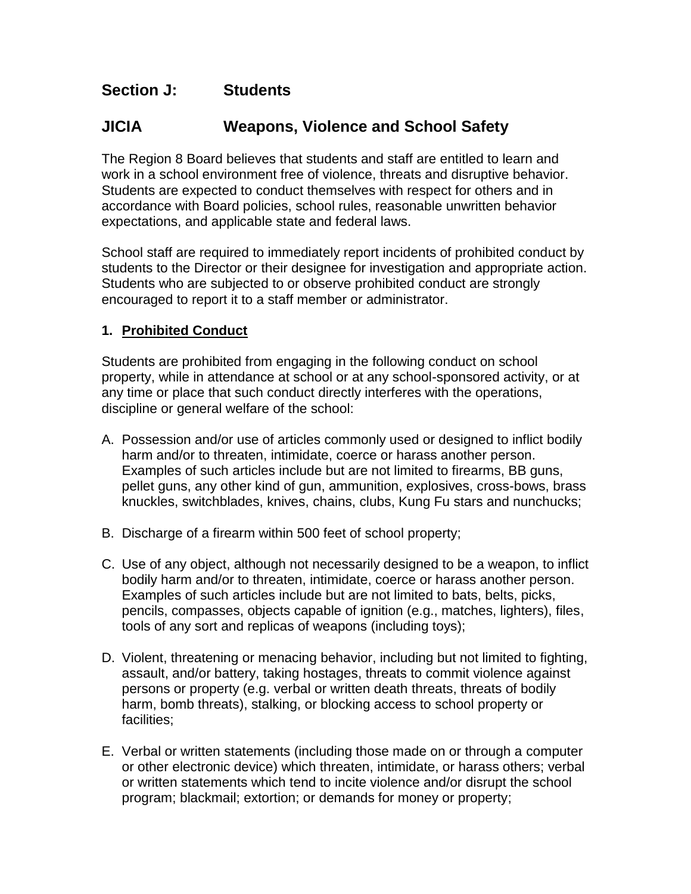## **Section J: Students**

# **JICIA Weapons, Violence and School Safety**

The Region 8 Board believes that students and staff are entitled to learn and work in a school environment free of violence, threats and disruptive behavior. Students are expected to conduct themselves with respect for others and in accordance with Board policies, school rules, reasonable unwritten behavior expectations, and applicable state and federal laws.

School staff are required to immediately report incidents of prohibited conduct by students to the Director or their designee for investigation and appropriate action. Students who are subjected to or observe prohibited conduct are strongly encouraged to report it to a staff member or administrator.

## **1. Prohibited Conduct**

Students are prohibited from engaging in the following conduct on school property, while in attendance at school or at any school-sponsored activity, or at any time or place that such conduct directly interferes with the operations, discipline or general welfare of the school:

- A. Possession and/or use of articles commonly used or designed to inflict bodily harm and/or to threaten, intimidate, coerce or harass another person. Examples of such articles include but are not limited to firearms, BB guns, pellet guns, any other kind of gun, ammunition, explosives, cross-bows, brass knuckles, switchblades, knives, chains, clubs, Kung Fu stars and nunchucks;
- B. Discharge of a firearm within 500 feet of school property;
- C. Use of any object, although not necessarily designed to be a weapon, to inflict bodily harm and/or to threaten, intimidate, coerce or harass another person. Examples of such articles include but are not limited to bats, belts, picks, pencils, compasses, objects capable of ignition (e.g., matches, lighters), files, tools of any sort and replicas of weapons (including toys);
- D. Violent, threatening or menacing behavior, including but not limited to fighting, assault, and/or battery, taking hostages, threats to commit violence against persons or property (e.g. verbal or written death threats, threats of bodily harm, bomb threats), stalking, or blocking access to school property or facilities;
- E. Verbal or written statements (including those made on or through a computer or other electronic device) which threaten, intimidate, or harass others; verbal or written statements which tend to incite violence and/or disrupt the school program; blackmail; extortion; or demands for money or property;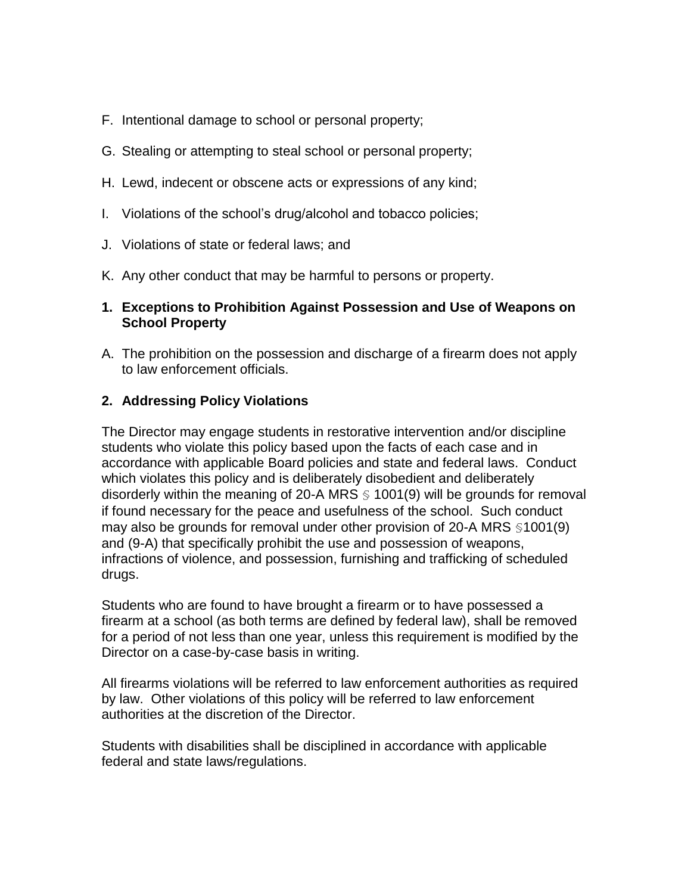- F. Intentional damage to school or personal property;
- G. Stealing or attempting to steal school or personal property;
- H. Lewd, indecent or obscene acts or expressions of any kind;
- I. Violations of the school's drug/alcohol and tobacco policies;
- J. Violations of state or federal laws; and
- K. Any other conduct that may be harmful to persons or property.

### **1. Exceptions to Prohibition Against Possession and Use of Weapons on School Property**

A. The prohibition on the possession and discharge of a firearm does not apply to law enforcement officials.

### **2. Addressing Policy Violations**

The Director may engage students in restorative intervention and/or discipline students who violate this policy based upon the facts of each case and in accordance with applicable Board policies and state and federal laws. Conduct which violates this policy and is deliberately disobedient and deliberately disorderly within the meaning of 20-A MRS  $\leq$  1001(9) will be grounds for removal if found necessary for the peace and usefulness of the school. Such conduct may also be grounds for removal under other provision of 20-A MRS §1001(9) and (9-A) that specifically prohibit the use and possession of weapons, infractions of violence, and possession, furnishing and trafficking of scheduled drugs.

Students who are found to have brought a firearm or to have possessed a firearm at a school (as both terms are defined by federal law), shall be removed for a period of not less than one year, unless this requirement is modified by the Director on a case-by-case basis in writing.

All firearms violations will be referred to law enforcement authorities as required by law. Other violations of this policy will be referred to law enforcement authorities at the discretion of the Director.

Students with disabilities shall be disciplined in accordance with applicable federal and state laws/regulations.